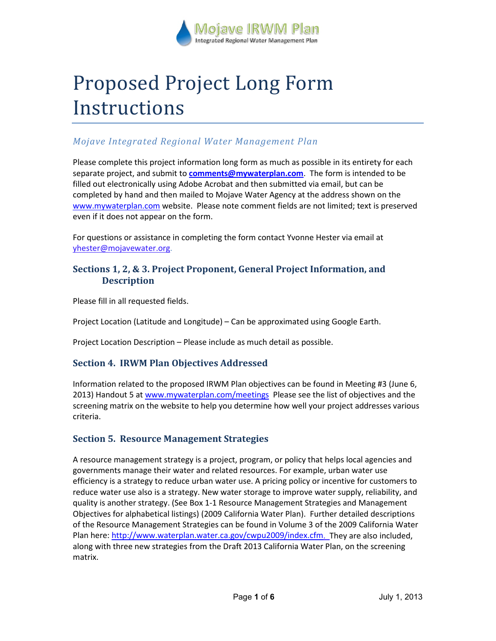

# Proposed Project Long Form Instructions

# *Mojave Integrated Regional Water Management Plan*

Please complete this project information long form as much as possible in its entirety for each separate project, and submit to **[comments@mywaterplan.com](mailto:comments@mywaterplan.com)**. The form is intended to be filled out electronically using Adobe Acrobat and then submitted via email, but can be completed by hand and then mailed to Mojave Water Agency at the address shown on the [www.mywaterplan.com](http://www.mywaterplan.com/) website. Please note comment fields are not limited; text is preserved even if it does not appear on the form.

For questions or assistance in completing the form contact Yvonne Hester via email at yhester@mojavewater.org.

## **Sections 1, 2, & 3. Project Proponent, General Project Information, and Description**

Please fill in all requested fields.

Project Location (Latitude and Longitude) – Can be approximated using Google Earth.

Project Location Description – Please include as much detail as possible.

## **Section 4. IRWM Plan Objectives Addressed**

Information related to the proposed IRWM Plan objectives can be found in Meeting #3 (June 6, 2013) Handout 5 at www.mywaterplan.com/meetings Please see the list of objectives and the screening matrix on the website to help you determine how well your project addresses various criteria.

## **Section 5. Resource Management Strategies**

A resource management strategy is a project, program, or policy that helps local agencies and governments manage their water and related resources. For example, urban water use efficiency is a strategy to reduce urban water use. A pricing policy or incentive for customers to reduce water use also is a strategy. New water storage to improve water supply, reliability, and quality is another strategy. (See Box 1-1 Resource Management Strategies and Management Objectives for alphabetical listings) (2009 California Water Plan). Further detailed descriptions of the Resource Management Strategies can be found in Volume 3 of the 2009 California Water Plan here[: http://www.waterplan.water.ca.gov/cwpu2009/index.cfm.](http://www.waterplan.water.ca.gov/cwpu2009/index.cfm) They are also included, along with three new strategies from the Draft 2013 California Water Plan, on the screening matrix.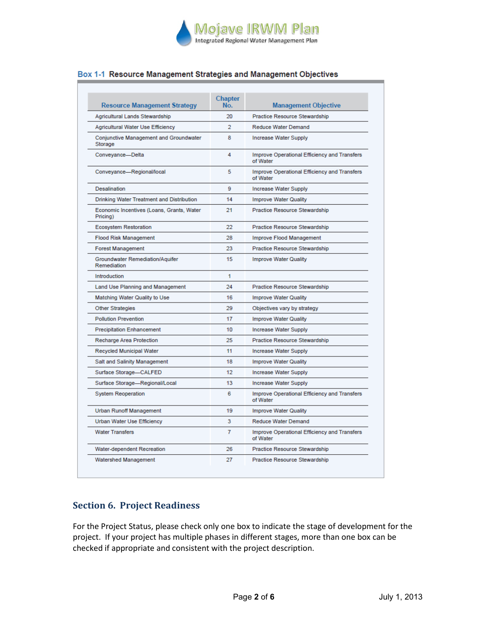

## Box 1-1 Resource Management Strategies and Management Objectives

| <b>Resource Management Strategy</b>                   | Chapter<br>No. | <b>Management Objective</b>                              |
|-------------------------------------------------------|----------------|----------------------------------------------------------|
| Agricultural Lands Stewardship                        | 20             | Practice Resource Stewardship                            |
| Agricultural Water Use Efficiency                     | $\mathcal{P}$  | <b>Reduce Water Demand</b>                               |
| Conjunctive Management and Groundwater<br>Storage     | 8              | <b>Increase Water Supply</b>                             |
| Conveyance-Delta                                      | 4              | Improve Operational Efficiency and Transfers<br>of Water |
| Conveyance-Regional/local                             | 5.             | Improve Operational Efficiency and Transfers<br>of Water |
| Desalination                                          | 9              | <b>Increase Water Supply</b>                             |
| Drinking Water Treatment and Distribution             | 14             | <b>Improve Water Quality</b>                             |
| Economic Incentives (Loans, Grants, Water<br>Pricing) | 21             | Practice Resource Stewardship                            |
| <b>Ecosystem Restoration</b>                          | 22             | Practice Resource Stewardship                            |
| <b>Flood Risk Management</b>                          | 28             | Improve Flood Management                                 |
| <b>Forest Management</b>                              | 23             | Practice Resource Stewardship                            |
| Groundwater Remediation/Aquifer<br>Remediation        | 15             | <b>Improve Water Quality</b>                             |
| Introduction                                          | 1              |                                                          |
| Land Use Planning and Management                      | 24             | Practice Resource Stewardship                            |
| Matching Water Quality to Use                         | 16             | Improve Water Quality                                    |
| <b>Other Strategies</b>                               | 29             | Objectives vary by strategy                              |
| <b>Pollution Prevention</b>                           | 17             | <b>Improve Water Quality</b>                             |
| <b>Precipitation Enhancement</b>                      | 10             | Increase Water Supply                                    |
| Recharge Area Protection                              | 25             | Practice Resource Stewardship                            |
| <b>Recycled Municipal Water</b>                       | 11             | Increase Water Supply                                    |
| Salt and Salinity Management                          | 18             | <b>Improve Water Quality</b>                             |
| Surface Storage-CALFED                                | 12             | Increase Water Supply                                    |
| Surface Storage-Regional/Local                        | 13             | Increase Water Supply                                    |
| <b>System Reoperation</b>                             | 6              | Improve Operational Efficiency and Transfers<br>of Water |
| <b>Urban Runoff Management</b>                        | 19             | <b>Improve Water Quality</b>                             |
| Urban Water Use Efficiency                            | 3              | <b>Reduce Water Demand</b>                               |
| <b>Water Transfers</b>                                | 7              | Improve Operational Efficiency and Transfers<br>of Water |
| Water-dependent Recreation                            | 26             | Practice Resource Stewardship                            |
| Watershed Management                                  | 27             | Practice Resource Stewardship                            |

# **Section 6. Project Readiness**

For the Project Status, please check only one box to indicate the stage of development for the project. If your project has multiple phases in different stages, more than one box can be checked if appropriate and consistent with the project description.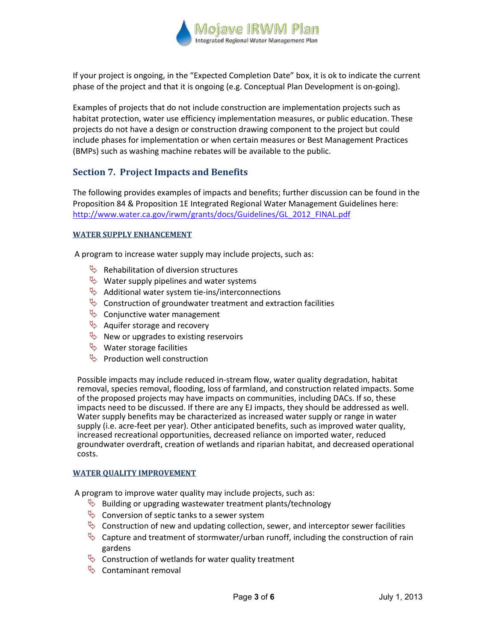

If your project is ongoing, in the "Expected Completion Date" box, it is ok to indicate the current phase of the project and that it is ongoing (e.g. Conceptual Plan Development is on-going).

Examples of projects that do not include construction are implementation projects such as habitat protection, water use efficiency implementation measures, or public education. These projects do not have a design or construction drawing component to the project but could include phases for implementation or when certain measures or Best Management Practices (BMPs) such as washing machine rebates will be available to the public.

## **Section 7. Project Impacts and Benefits**

The following provides examples of impacts and benefits; further discussion can be found in the Proposition 84 & Proposition 1E Integrated Regional Water Management Guidelines here: http://www.water.ca.gov/irwm/grants/docs/Guidelines/GL\_2012\_FINAL.pdf

## **WATER SUPPLY ENHANCEMENT**

A program to increase water supply may include projects, such as:

- $\mathbb{R}$  Rehabilitation of diversion structures
- $\psi$  Water supply pipelines and water systems
- $\&$  Additional water system tie-ins/interconnections
- $\&$  Construction of groundwater treatment and extraction facilities
- $\psi$  Conjunctive water management
- $\psi$  Aquifer storage and recovery
- $\psi$  New or upgrades to existing reservoirs
- $\psi$  Water storage facilities
- $\psi$  Production well construction

Possible impacts may include reduced in-stream flow, water quality degradation, habitat removal, species removal, flooding, loss of farmland, and construction related impacts. Some of the proposed projects may have impacts on communities, including DACs. If so, these impacts need to be discussed. If there are any EJ impacts, they should be addressed as well. Water supply benefits may be characterized as increased water supply or range in water supply (i.e. acre-feet per year). Other anticipated benefits, such as improved water quality, increased recreational opportunities, decreased reliance on imported water, reduced groundwater overdraft, creation of wetlands and riparian habitat, and decreased operational costs.

#### **WATER QUALITY IMPROVEMENT**

A program to improve water quality may include projects, such as:

- $\psi$  Building or upgrading wastewater treatment plants/technology
- $\&$  Conversion of septic tanks to a sewer system
- $\&$  Construction of new and updating collection, sewer, and interceptor sewer facilities
- $\uparrow$  Capture and treatment of stormwater/urban runoff, including the construction of rain gardens
- $\%$  Construction of wetlands for water quality treatment
- $\&$  Contaminant removal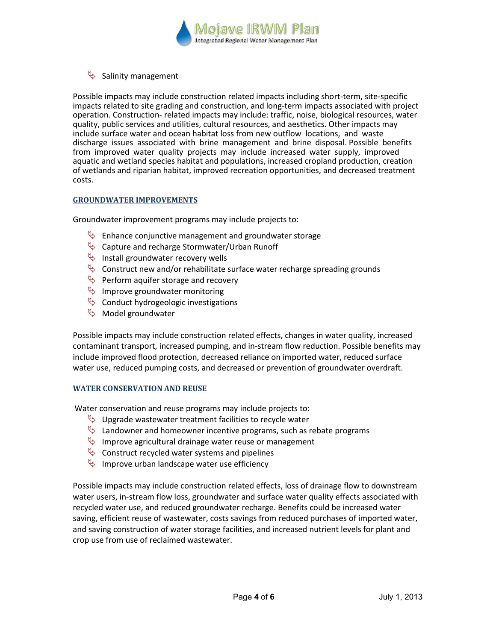

 $\updownarrow$  Salinity management

Possible impacts may include construction related impacts including short-term, site-specific impacts related to site grading and construction, and long-term impacts associated with project operation. Construction- related impacts may include: traffic, noise, biological resources, water quality, public services and utilities, cultural resources, and aesthetics. Other impacts may include surface water and ocean habitat loss from new outflow locations, and waste discharge issues associated with brine management and brine disposal. Possible benefits from improved water quality projects may include increased water supply, improved aquatic and wetland species habitat and populations, increased cropland production, creation of wetlands and riparian habitat, improved recreation opportunities, and decreased treatment costs.

## **GROUNDWATER IMPROVEMENTS**

Groundwater improvement programs may include projects to:

- $\psi$  Enhance conjunctive management and groundwater storage
- $\psi$  Capture and recharge Stormwater/Urban Runoff
- $\psi$  Install groundwater recovery wells
- $\%$  Construct new and/or rehabilitate surface water recharge spreading grounds
- $\psi$  Perform aquifer storage and recovery
- $\psi$  Improve groundwater monitoring
- $\psi$  Conduct hydrogeologic investigations
- $\%$  Model groundwater

Possible impacts may include construction related effects, changes in water quality, increased contaminant transport, increased pumping, and in-stream flow reduction. Possible benefits may include improved flood protection, decreased reliance on imported water, reduced surface water use, reduced pumping costs, and decreased or prevention of groundwater overdraft.

#### **WATER CONSERVATION AND REUSE**

Water conservation and reuse programs may include projects to:

- $\psi$  Upgrade wastewater treatment facilities to recycle water
- $\&$  Landowner and homeowner incentive programs, such as rebate programs
- $\psi$  Improve agricultural drainage water reuse or management
- $\&$  Construct recycled water systems and pipelines
- $\psi$  Improve urban landscape water use efficiency

Possible impacts may include construction related effects, loss of drainage flow to downstream water users, in-stream flow loss, groundwater and surface water quality effects associated with recycled water use, and reduced groundwater recharge. Benefits could be increased water saving, efficient reuse of wastewater, costs savings from reduced purchases of imported water, and saving construction of water storage facilities, and increased nutrient levels for plant and crop use from use of reclaimed wastewater.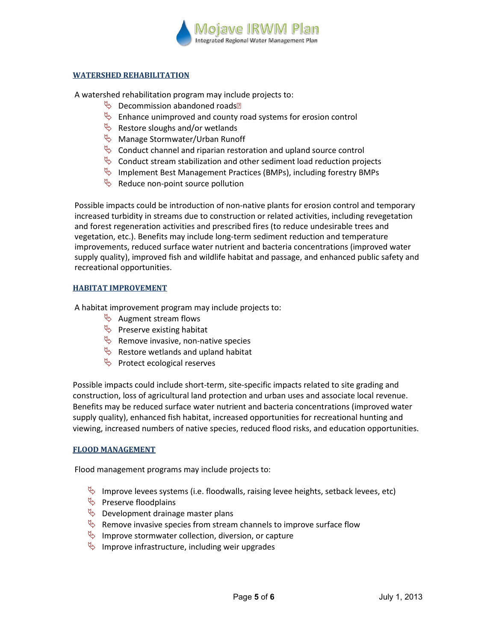

## **WATERSHED REHABILITATION**

A watershed rehabilitation program may include projects to:

- $\mathbb{B}$  Decommission abandoned roads<sup>n</sup>
- $\psi$  Enhance unimproved and county road systems for erosion control
- $\psi$  Restore sloughs and/or wetlands
- **W** Manage Stormwater/Urban Runoff
- $\&$  Conduct channel and riparian restoration and upland source control
- $\%$  Conduct stream stabilization and other sediment load reduction projects
- $\%$  Implement Best Management Practices (BMPs), including forestry BMPs
- $\&$  Reduce non-point source pollution

Possible impacts could be introduction of non-native plants for erosion control and temporary increased turbidity in streams due to construction or related activities, including revegetation and forest regeneration activities and prescribed fires (to reduce undesirable trees and vegetation, etc.). Benefits may include long-term sediment reduction and temperature improvements, reduced surface water nutrient and bacteria concentrations (improved water supply quality), improved fish and wildlife habitat and passage, and enhanced public safety and recreational opportunities.

#### **HABITAT IMPROVEMENT**

A habitat improvement program may include projects to:

- $\updownarrow$  Augment stream flows
- $\updownarrow$  Preserve existing habitat
- $\psi$  Remove invasive, non-native species
- $\psi$  Restore wetlands and upland habitat
- $\updownarrow$  Protect ecological reserves

Possible impacts could include short-term, site-specific impacts related to site grading and construction, loss of agricultural land protection and urban uses and associate local revenue. Benefits may be reduced surface water nutrient and bacteria concentrations (improved water supply quality), enhanced fish habitat, increased opportunities for recreational hunting and viewing, increased numbers of native species, reduced flood risks, and education opportunities.

#### **FLOOD MANAGEMENT**

Flood management programs may include projects to:

- Improve levees systems (i.e. floodwalls, raising levee heights, setback levees, etc)
- $\psi$  Preserve floodplains
- $\psi$  Development drainage master plans
- $\&$  Remove invasive species from stream channels to improve surface flow
- $\psi$  Improve stormwater collection, diversion, or capture
- $\psi$  Improve infrastructure, including weir upgrades